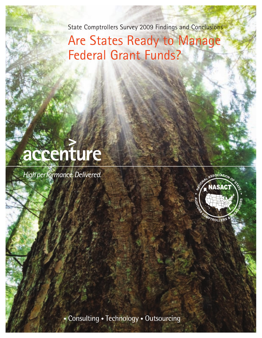State Comptrollers Survey 2009 Findings and Conclusions

## Are States Ready to Manage Federal Grant Funds?



High performance. Delivered.



• Consulting • Technology • Outsourcing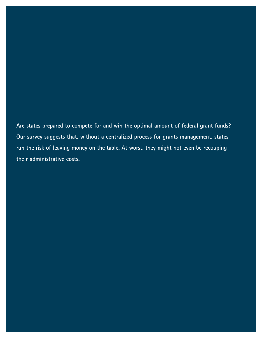**Are states prepared to compete for and win the optimal amount of federal grant funds? Our survey suggests that, without a centralized process for grants management, states run the risk of leaving money on the table. At worst, they might not even be recouping their administrative costs.**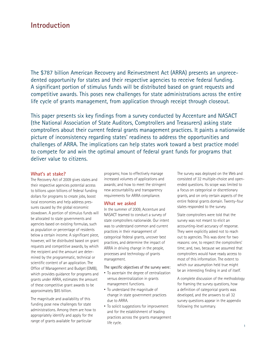## **Introduction**

The \$787 billion American Recovery and Reinvestment Act (ARRA) presents an unprecedented opportunity for states and their respective agencies to receive federal funding. A significant portion of stimulus funds will be distributed based on grant requests and competitive awards. This poses new challenges for state administrations across the entire life cycle of grants management, from application through receipt through closeout.

This paper presents six key findings from a survey conducted by Accenture and NASACT (the National Association of State Auditors, Comptrollers and Treasurers) asking state comptrollers about their current federal grants management practices. It paints a nationwide picture of inconsistency regarding states' readiness to address the opportunities and challenges of ARRA. The implications can help states work toward a best practice model to compete for and win the optimal amount of federal grant funds for programs that deliver value to citizens.

### **What's at stake?**

The Recovery Act of 2009 gives states and their respective agencies potential access to billions upon billions of federal funding dollars for programs to create jobs, boost local economies and help address pressures caused by the global economic slowdown. A portion of stimulus funds will be allocated to state governments and agencies based on existing formulas, such as population or percentage of residents below a certain income. A significant piece, however, will be distributed based on grant requests and competitive awards, by which the recipient and the amount are determined by the programmatic, technical or scientific content of an application. The Office of Management and Budget (OMB), which provides guidance for programs and grants under ARRA, estimates the amount of these competitive grant awards to be approximately \$85 billion.

The magnitude and availability of this funding pose new challenges for state administrations. Among them are how to appropriately identify and apply for the range of grants available for particular

programs; how to effectively manage increased volumes of applications and awards; and how to meet the stringent new accountability and transparency requirements for ARRA compliance.

### **What we asked**

In the summer of 2009, Accenture and NASACT teamed to conduct a survey of state comptrollers nationwide. Our intent was to understand common and current practices in their management of categorical federal grants, uncover best practices, and determine the impact of ARRA in driving change in the people, processes and technology of grants management.

The specific objectives of the survey were:

- To ascertain the degree of centralization versus decentralization in grants management functions.
- To understand the magnitude of change in state government practices due to ARRA.
- To solicit suggestions for improvement and for the establishment of leading practices across the grants management life cycle.

The survey was deployed on the Web and consisted of 32 multiple-choice and openended questions. Its scope was limited to a focus on categorical or discretionary grants, and on only certain aspects of the entire federal grants domain. Twenty-four states responded to the survey.

State comptrollers were told that the survey was not meant to elicit an accounting-level accuracy of response. They were explicitly asked not to reach out to agencies. This was done for two reasons: one, to respect the comptrollers' time; and, two, because we assumed that comptrollers would have ready access to most of this information. The extent to which our assumption held true might be an interesting finding in and of itself.

A complete discussion of the methodology for framing the survey questions, how a definition of categorical grants was developed, and the answers to all 32 survey questions appear in the appendix following the summary.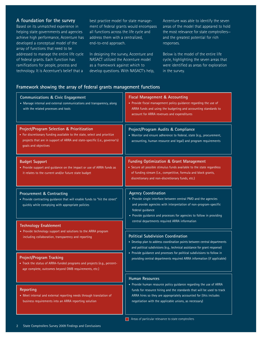### **A foundation for the survey**

Based on its unmatched experience in helping state governments and agencies achieve high performance, Accenture has developed a conceptual model of the array of functions that need to be addressed to manage the entire life cycle of federal grants. Each function has ramifications for people, process and technology. It is Accenture's belief that a

best practice model for state management of federal grants would encompass all functions across the life cycle and address them with a centralized, end-to-end approach.

In designing the survey, Accenture and NASACT utilized the Accenture model as a framework against which to develop questions. With NASACT's help, Accenture was able to identify the seven areas of the model that appeared to hold the most relevance for state comptrollers and the greatest potential for rich responses.

Below is the model of the entire life cycle, highlighting the seven areas that were identified as areas for exploration in the survey.

## **Framework showing the array of federal grants management functions**

| <b>Communications &amp; Civic Engagement</b><br>• Manage internal and external communications and transparency, along<br>with the related processes and tools                                                                 | Fiscal Management & Accounting<br>• Provide fiscal management policy guidance regarding the use of<br>ARRA funds and using the budgeting and accounting standards to<br>account for ARRA revenues and expenditures                                                                                             |
|-------------------------------------------------------------------------------------------------------------------------------------------------------------------------------------------------------------------------------|----------------------------------------------------------------------------------------------------------------------------------------------------------------------------------------------------------------------------------------------------------------------------------------------------------------|
| Project/Program Selection & Prioritization<br>• For discretionary funding available to the state, select and prioritize<br>projects that are in support of ARRA and state-specific (i.e., governor's)<br>goals and objectives | Project/Program Audits & Compliance<br>• Monitor and ensure adherence to federal, state (e.g., procurement,<br>accounting, human resource and legal) and program requirements                                                                                                                                  |
| <b>Budget Support</b><br>• Provide support and guidance on the impact or use of ARRA funds as<br>it relates to the current and/or future state budget                                                                         | <b>Funding Optimization &amp; Grant Management</b><br>• Secure all possible stimulus funds available to the state regardless<br>of funding stream (i.e., competitive, formula and block grants,<br>discretionary and non-discretionary funds, etc.)                                                            |
| Procurement & Contracting<br>• Provide contracting guidance that will enable funds to "hit the street"<br>quickly while complying with appropriate policies                                                                   | <b>Agency Coordination</b><br>• Provide single interface between central PMO and the agencies<br>and provide agencies with interpretation of non-program-specific<br>federal guidance<br>• Provide guidance and processes for agencies to follow in providing<br>central departments required ARRA information |
| <b>Technology Enablement</b><br>• Provide technology support and solutions to the ARRA program<br>including collaboration, transparency and reporting                                                                         | <b>Political Subdivision Coordination</b><br>• Develop plan to address coordination points between central departments<br>and political subdivisions (e.g., technical assistance for grant response)                                                                                                           |
| Project/Program Tracking<br>• Track the status of ARRA-funded programs and projects (e.g., percent-<br>age complete, outcomes beyond OMB requirements, etc.)                                                                  | • Provide guidance and processes for political subdivisions to follow in<br>providing central departments required ARRA information (if applicable)                                                                                                                                                            |
| Reporting<br>• Meet internal and external reporting needs through translation of<br>business requirements into an ARRA reporting solution                                                                                     | <b>Human Resources</b><br>• Provide human resource policy guidance regarding the use of ARRA<br>funds for resource hiring and the standards that will be used to track<br>ARRA hires so they are appropriately accounted for (this includes<br>negotiation with the applicable unions, as necessary)           |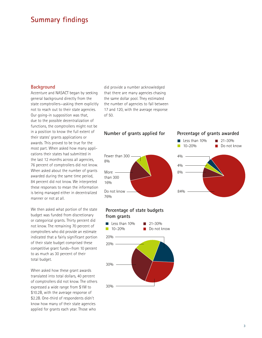## **Summary findings**

### **Background**

Accenture and NASACT began by seeking general background directly from the state comptrollers—asking them explicitly not to reach out to their state agencies. Our going-in supposition was that, due to the possible decentralization of functions, the comptrollers might not be in a position to know the full extent of their states' grants applications or awards. This proved to be true for the most part. When asked how many applications their states had submitted in the last 12 months across all agencies, 76 percent of comptrollers did not know. When asked about the number of grants awarded during the same time period, 84 percent did not know. We interpreted these responses to mean the information is being managed either in decentralized manner or not at all.

We then asked what portion of the state budget was funded from discretionary or categorical grants. Thirty percent did not know. The remaining 70 percent of comptrollers who did provide an estimate indicated that a fairly significant portion of their state budget comprised these competitive grant funds—from 10 percent to as much as 30 percent of their total budget.

When asked how these grant awards translated into total dollars, 40 percent of comptrollers did not know. The others expressed a wide range from \$1M to \$10.2B, with the average response of \$2.2B. One-third of respondents didn't know how many of their state agencies applied for grants each year. Those who

did provide a number acknowledged that there are many agencies chasing the same dollar pool. They estimated the number of agencies to fall between 17 and 120, with the average response of 50.



## **Percentage of state budgets from grants**

76%

16%

8%



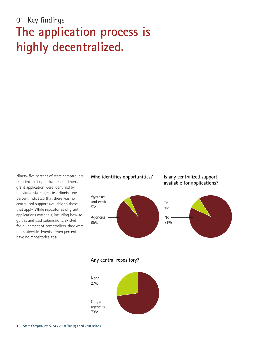## 01 Key findings **The application process is highly decentralized.**

Ninety-five percent of state comptrollers reported that opportunities for federal grant application were identified by individual state agencies. Ninety-one percent indicated that there was no centralized support available to those that apply. While repositories of grant applications materials, including how-to guides and past submissions, existed for 73 percent of comptrollers, they were not statewide. Twenty-seven percent have no repositories at all.

## Who identifies opportunities? Is any centralized support

## **available for applications?**





**Any central repository?**

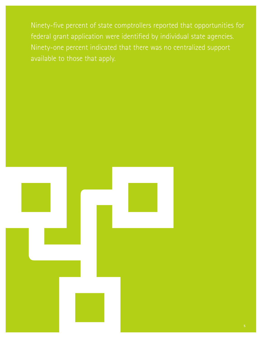Ninety-five percent of state comptrollers reported that opportunities for federal grant application were identified by individual state agencies. Ninety-one percent indicated that there was no centralized support available to those that apply.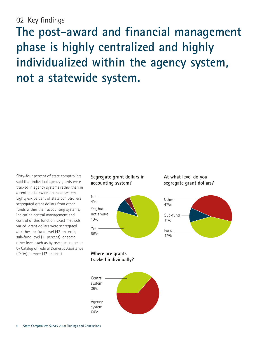## 02 Key findings

**The post-award and financial management phase is highly centralized and highly individualized within the agency system, not a statewide system.**

Sixty-four percent of state comptrollers said that individual agency grants were tracked in agency systems rather than in a central, statewide financial system. Eighty-six percent of state comptrollers segregated grant dollars from other funds within their accounting systems, indicating central management and control of this function. Exact methods varied: grant dollars were segregated at either the fund level (42 percent); sub-fund level (11 percent); or some other level, such as by revenue source or by Catalog of Federal Domestic Assistance (CFDA) number (47 percent).

## **Segregate grant dollars in accounting system?**



**At what level do you segregate grant dollars?**



**Where are grants tracked individually?**

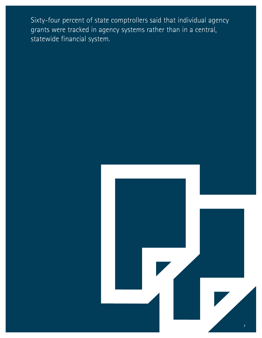Sixty-four percent of state comptrollers said that individual agency grants were tracked in agency systems rather than in a central, statewide financial system.

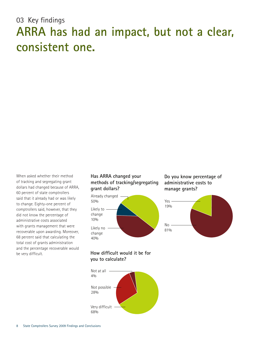## 03 Key findings **ARRA has had an impact, but not a clear, consistent one.**

When asked whether their method of tracking and segregating grant dollars had changed because of ARRA, 60 percent of state comptrollers said that it already had or was likely to change. Eighty-one percent of comptrollers said, however, that they did not know the percentage of administrative costs associated with grants management that were recoverable upon awarding. Moreover, 68 percent said that calculating the total cost of grants administration and the percentage recoverable would be very difficult.

## **Has ARRA changed your methods of tracking/segregating grant dollars?**



**Do you know percentage of administrative costs to manage grants?**



## **How difficult would it be for you to calculate?**

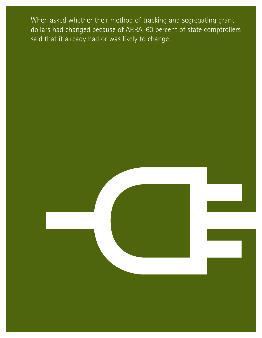When asked whether their method of tracking and segregating grant dollars had changed because of ARRA, 60 percent of state comptrollers said that it already had or was likely to change.



**9**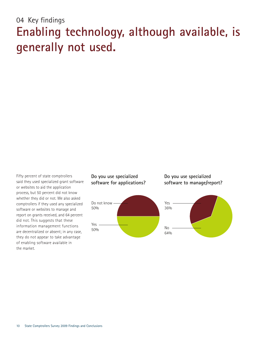## 04 Key findings **Enabling technology, although available, is generally not used.**

Fifty percent of state comptrollers said they used specialized grant software or websites to aid the application process, but 50 percent did not know whether they did or not. We also asked comptrollers if they used any specialized software or websites to manage and report on grants received, and 64 percent did not. This suggests that these information management functions are decentralized or absent; in any case, they do not appear to take advantage of enabling software available in the market.

## **Do you use specialized software for applications?**



**Do you use specialized software to manage/report?**

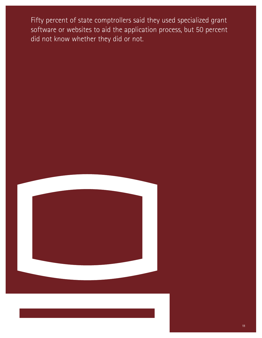Fifty percent of state comptrollers said they used specialized grant software or websites to aid the application process, but 50 percent did not know whether they did or not.

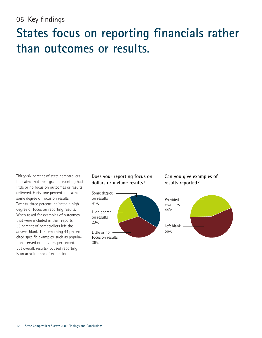## 05 Key findings

## **States focus on reporting financials rather than outcomes or results.**

Thirty-six percent of state comptrollers indicated that their grants reporting had little or no focus on outcomes or results delivered. Forty-one percent indicated some degree of focus on results. Twenty-three percent indicated a high degree of focus on reporting results. When asked for examples of outcomes that were included in their reports, 56 percent of comptrollers left the answer blank. The remaining 44 percent cited specific examples, such as populations served or activities performed. But overall, results-focused reporting is an area in need of expansion.

## **Does your reporting focus on dollars or include results?**



## **Can you give examples of results reported?**

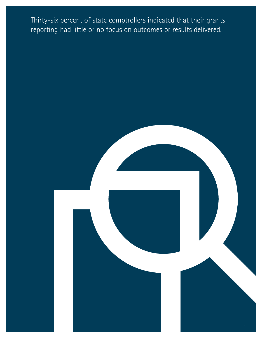Thirty-six percent of state comptrollers indicated that their grants reporting had little or no focus on outcomes or results delivered.

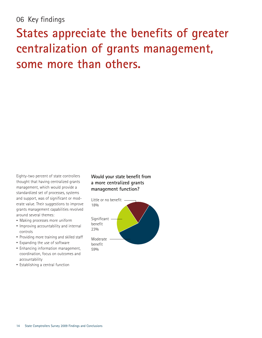## 06 Key findings

# **States appreciate the benefits of greater centralization of grants management, some more than others.**

Eighty-two percent of state controllers thought that having centralized grants management, which would provide a standardized set of processes, systems and support, was of significant or moderate value. Their suggestions to improve grants management capabilities revolved around several themes:

- Making processes more uniform
- Improving accountability and internal controls
- Providing more training and skilled staff
- Expanding the use of software
- Enhancing information management, coordination, focus on outcomes and accountability
- Establishing a central function

## **Would your state benefit from a more centralized grants management function?**

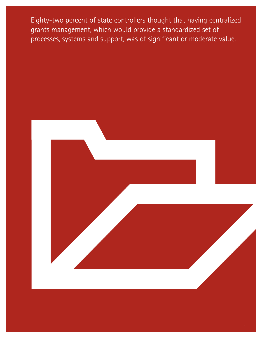Eighty-two percent of state controllers thought that having centralized grants management, which would provide a standardized set of processes, systems and support, was of significant or moderate value.

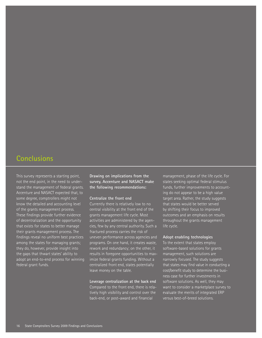## **Conclusions**

This survey represents a starting point, not the end point, in the need to understand the management of federal grants. Accenture and NASACT expected that, to some degree, comptrollers might not know the detailed and accounting level of the grants management process. These findings provide further evidence of decentralization and the opportunity that exists for states to better manage their grants management process. The findings reveal no uniform best practices among the states for managing grants; they do, however, provide insight into the gaps that thwart states' ability to adopt an end-to-end process for winning federal grant funds.

**Drawing on implications from the survey, Accenture and NASACT make the following recommendations:**

#### **Centralize the front end**

Currently there is relatively low to no central visibility at the front end of the grants management life cycle. Most activities are administered by the agencies, few by any central authority. Such a fractured process carries the risk of uneven performance across agencies and programs. On one hand, it creates waste, rework and redundancy; on the other, it results in foregone opportunities to maximize federal grants funding. Without a centralized front end, states potentially leave money on the table.

#### **Leverage centralization at the back end**

Compared to the front end, there is relatively high visibility and control over the back-end, or post–award and financial

management, phase of the life cycle. For states seeking optimal federal stimulus funds, further improvements to accounting do not appear to be a high value target area. Rather, the study suggests that states would be better served by shifting their focus to improved outcomes and an emphasis on results throughout the grants management life cycle.

#### **Adopt enabling technologies**

To the extent that states employ software-based solutions for grants management, such solutions are narrowly focused. The study suggests that states may find value in conducting a cost/benefit study to determine the business case for further investments in software solutions. As well, they may want to consider a marketplace survey to evaluate the merits of integrated ERP versus best-of-breed solutions.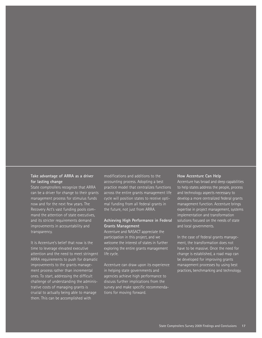### **Take advantage of ARRA as a driver for lasting change**

State comptrollers recognize that ARRA can be a driver for change to their grants management process for stimulus funds now and for the next few years. The Recovery Act's vast funding pools command the attention of state executives, and its stricter requirements demand improvements in accountability and transparency.

It is Accenture's belief that now is the time to leverage elevated executive attention and the need to meet stringent ARRA requirements to push for dramatic improvements to the grants management process rather than incremental ones. To start, addressing the difficult challenge of understanding the administrative costs of managing grants is crucial to actually being able to manage them. This can be accomplished with

modifications and additions to the accounting process. Adopting a best practice model that centralizes functions across the entire grants management life cycle will position states to receive optimal funding from all federal grants in the future, not just from ARRA.

### **Achieving High Performance in Federal Grants Management**

Accenture and NASACT appreciate the participation in this project, and we welcome the interest of states in further exploring the entire grants management life cycle.

Accenture can draw upon its experience in helping state governments and agencies achieve high performance to discuss further implications from the survey and make specific recommendations for moving forward.

#### **How Accenture Can Help**

Accenture has broad and deep capabilities to help states address the people, process and technology aspects necessary to develop a more centralized federal grants management function. Accenture brings expertise in project management, systems implementation and transformation solutions focused on the needs of state and local governments.

In the case of federal grants management, the transformation does not have to be massive. Once the need for change is established, a road map can be developed for improving grants management processes by using best practices, benchmarking and technology.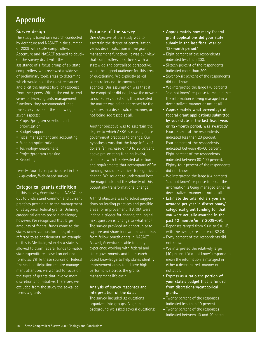## **Appendix**

## **Survey design**

The study is based on research conducted by Accenture and NASACT in the summer of 2009 with state comptrollers. Accenture and NASACT teamed to develop the survey draft with the assistance of a focus group of six state comptrollers, who reviewed a wide set of preliminary topic areas to determine which would hold the most relevance and elicit the highest level of response from their peers. Within the end-to-end series of federal grants management functions, they recommended that the survey focus on the following seven aspects:

- Project/program selection and prioritization
- Budget support
- Fiscal management and accounting
- Funding optimization
- Technology enablement
- Project/program tracking
- Reporting

Twenty-four states participated in the 32-question, Web-based survey.

## **Categorical grants definition**

In this survey, Accenture and NASACT set out to understand common and current practices pertaining to the management of categorical federal grants. Defining categorical grants posed a challenge, however. We recognized that large amounts of federal funds come to the states under various formulas, often referred to as entitlements. An example of this is Medicaid, whereby a state is allowed to claim federal funds to match state expenditures based on defined formulas. While these sources of federal financial participation require management attention, we wanted to focus on the types of grants that involve more discretion and initiative. Therefore, we excluded from the study the so-called formula grants.

## **Purpose of the survey**

One objective of the study was to ascertain the degree of centralization versus decentralization in the grant management functions. It was our view that comptrollers, as officers with a statewide and centralized perspective, would be a good audience for this area of questioning. We explicitly asked comptrollers not to canvass their agencies. Our assumption was that if the comptroller did not know the answer to our survey questions, this indicated the matter was being addressed by the agencies in a decentralized manner, or not being addressed at all.

Another objective was to ascertain the degree to which ARRA is causing state government practices to change. Our hypothesis was that the large influx of dollars (an increase of 10 to 20 percent above pre-existing funding levels), combined with the elevated attention and requirements that accompany ARRA funding, would be a driver for significant change. We sought to understand both the magnitude and the velocity of this potentially transformational change.

A third objective was to solicit suggestions on leading practices and possible areas for improvement. If ARRA were indeed a trigger for change, the logical next question is: change to what end? The survey provided an opportunity to capture and share innovations and ideas from fellow practitioners in NASACT. As well, Accenture is able to apply its experience working with federal and state governments and its researchbased knowledge to help states identify improvement areas to achieve high performance across the grants management life cycle.

### **Analysis of survey responses and interpretation of the data.**

The survey included 32 questions, organized into groups. As general background we asked several questions:

- **Approximately how many federal grant applications did your state submit in the last fiscal year or 12-month period?**
- Eight percent of the respondents indicated less than 300.
- Sixteen percent of the respondents indicated more than 300.
- Seventy-six percent of the respondents did not know.
- We interpreted the large (76 percent) "did not know" response to mean either the information is being managed in a decentralized manner or not at all.
- **Approximately what percentage of federal grant applications submitted by your state in the last fiscal year, or 12-month period, was awarded?**
- Four percent of the respondents indicated less than 20 percent.
- Four percent of the respondents indicated between 40–60 percent.
- Eight percent of the respondents indicated between 80–100 percent.
- Eighty-four percent of the respondents did not know.
- We interpreted the large (84 percent) "did not know" response to mean the information is being managed either in decentralized manner or not at all.
- **Estimate the total dollars you are awarded per year in discretionary/ categorical grant funding (or that you were actually awarded in the past 12 months/in FY 2008-09).**
- Reponses ranged from \$1M to \$10.2B, with the average response of \$2.2B.
- Forty percent of the respondents did not know.
- We interpreted the relatively large (40 percent) "did not know" response to mean the information is managed in either a decentralized manner or not at all.
- **Express as a ratio the portion of your state's budget that is funded from discretionary/categorical grants.**
- Twenty percent of the responses indicated less than 10 percent.
- Twenty percent of the responses indicated between 10 and 20 percent.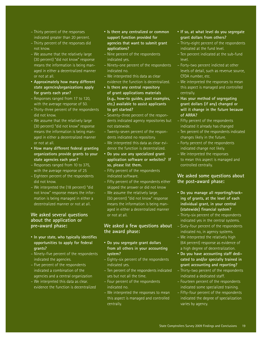- Thirty percent of the responses indicated greater than 20 percent.
- Thirty percent of the responses did not know.
- We assume that the relatively large (30 percent) "did not know" response means the information is being managed in either a decentralized manner or not at all.
- **Approximately how many different state agencies/organizations apply for grants each year?**
- Responses ranged from 17 to 120, with the average response of 50.
- Thirty-three percent of the respondents did not know.
- We assume that the relatively large (30 percent) "did not know" response means the information is being managed in either a decentralized manner or not at all.
- **How many different federal granting organizations provide grants to your state agencies each year?**
- Responses ranged from 10 to 375, with the average response of 25
- Eighteen percent of the respondents did not know.
- We interpreted the (18 percent) "did not know" response means the information is being managed in either a decentralized manner or not at all.

## **We asked several questions about the application or pre-award phase:**

- **In your state, who typically identifies opportunities to apply for federal grants?**
- Ninety-five percent of the respondents indicated the agencies.
- Five percent of the respondents indicated a combination of the agencies and a central organization
- We interpreted this data as clear. evidence the function is decentralized
- **Is there any centralized or common support function provided for agencies that want to submit grant applications?**
- Nine percent of the respondents indicated yes.
- Ninety-one percent of the respondents indicated no.
- We interpreted this data as clear evidence the function is decentralized.
- **Is there any central repository of grant applications materials (e.g., how-to guides, past examples, etc.) available to assist applicants to get started?**
- Seventy-three percent of the respondents indicated agency repositories but not statewide.
- Twenty-seven percent of the respondents indicated no repository.
- We interpreted this data as clear evidence the function is decentralized.
- **Do you use any specialized grant application software or websites? If so, please list them.**
- Fifty percent of the respondents indicated software.
- Fifty percent of the respondents either skipped the answer or did not know
- We assume the relatively large. (50 percent) "did not know" response means the information is being managed in either a decentralized manner or not at all.

## **We asked a few questions about the award phase:**

- **Do you segregate grant dollars from all others in your accounting system?**
- Eighty-six percent of the respondents indicated yes.
- Ten percent of the respondents indicated yes but not all the time.
- Four percent of the respondents indicated no.
- We interpreted the responses to mean this aspect is managed and controlled centrally.
- **If so, at what level do you segregate grant dollars from others?**
- Thirty-eight percent of the respondents indicated at the fund level.
- Ten percent indicated at the sub-fund level.
- Forty-two percent indicted at other levels of detail, such as revenue source, CFDA number, etc.
- We interpreted the responses to mean this aspect is managed and controlled centrally.
- **Has your method of segregating grant dollars (if any) changed or will it change in the future because of ARRA?**
- Fifty percent of the respondents indicated it already has changed
- Ten percent of the respondents indicated changes likely in the future.
- Forty percent of the respondents indicated change not likely.
- We interpreted the responses to mean this aspect is managed and controlled centrally.

## **We asked some questions about the post-award phase:**

- **Do you manage all reporting/tracking of grants, at the level of each individual grant, in your central (statewide) financial system?**
- Thirty-six percent of the respondents indicated yes in the central systems.
- Sixty-four percent of the respondents indicated no, in agency systems.
- We interpreted the relatively high (64 percent) response as evidence of a high degree of decentralization.
- **Do you have accounting staff dedicated to and/or specially trained in grant accounting and reporting?**
- Thirty-two percent of the respondents indicated a dedicated staff.
- Fourteen percent of the respondents indicated some specialized training.
- Fifty-four percent of the respondents indicated the degree of specialization varies by agency.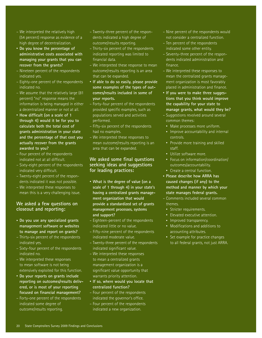- We interpreted the relatively high (54 percent) response as evidence of a high degree of decentralization.
- **Do you know the percentage of administrative costs associated with managing your grants that you can recover from the grants?**
- Nineteen percent of the respondents indicated yes.
- Eighty-one percent of the respondents indicated no.
- We assume that the relatively large (81 percent) "no" response means the information is being managed in either a decentralized manner or not at all.
- **How difficult (on a scale of 1 through 4) would it be for you to calculate both the total cost of grants administration in your state and the percentage of that cost you actually recover from the grants awarded to you?**
- Four percent of the respondents indicated not at all difficult.
- Sixty-eight percent of the respondents indicated very difficult.
- Twenty-eight percent of the respondents indicated it was not possible.
- We interpreted these responses to mean this is a very challenging issue.

## **We asked a few questions on closeout and reporting:**

- **Do you use any specialized grants management software or websites to manage and report on grants?**
- Thirty-six percent of the respondents indicated yes.
- Sixty-four percent of the respondents indicated no.
- We interpreted these responses to mean software is not being extensively exploited for this function.
- **Do your reports on grants include reporting on outcomes/results delivered, or is most of your reporting focused on financial management?**
- Forty-one percent of the respondents indicated some degree of outcome/results reporting.
- Twenty-three percent of the respondents indicated a high degree of outcome/results reporting.
- Thirty-six percent of the respondents indicated reporting was limited to financial data.
- We interpreted these response to mean outcome/results reporting is an area that can be expanded.
- **If able to do so easily, please provide some examples of the types of outcomes/results included in some of your reports.**
- Forty-four percent of the respondents provided specific examples, such as populations served and activities performed.
- Fifty-six percent of the respondents had no examples.
- We interpreted these responses to mean outcome/results reporting is an area that can be expanded.

## **We asked some final questions seeking ideas and suggestions for leading practices:**

- **What is the degree of value (on a scale of 1 through 4) in your state's having a centralized grants management organization that would provide a standardized set of grants management processes, systems and support?**
- Eighteen-percent of the respondents indicated little or no value.
- Fifty-nine percent of the respondents indicated moderate value.
- Twenty-three percent of the respondents indicated significant value.
- We interpreted these responses to mean a centralized grants management organization is a significant value opportunity that warrants priority attention.
- **If so, where would you locate that centralized function?**
- Four percent of the respondents indicated the governor's office.
- Four percent of the respondents indicated a new organization.
- Nine percent of the respondents would not consider a centralized function.
- Ten percent of the respondents indicated some other entity.
- Seventy-three percent of the respondents indicated administration and finance.
- We interpreted these responses to mean the centralized grants management organization is most favorably placed in administration and finance.
- **If you were to make three suggestions that you think would improve the capability for your state to manage grants, what would they be?**
- Suggestions revolved around several common themes:
	- Make processes more uniform.
	- Improve accountability and internal controls.
- Provide more training and skilled staff.
- Utilize software more.
- Focus on information/coordination/ outcomes/accountability.
- Create a central function.
- **Please describe how ARRA has caused changes (if any) to the method and manner by which your state manages federal grants.**
- Comments included several common themes.
	- Stricter requirements.
	- Elevated executive attention.
	- Improved transparency.
	- Modifications and additions to accounting attributes.
	- Set example for practice changes to all federal grants, not just ARRA.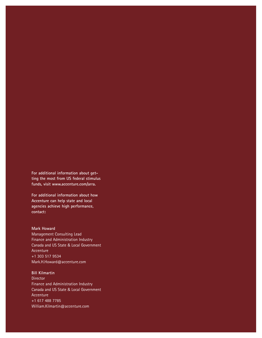**For additional information about getting the most from US federal stimulus funds, visit www.accenture.com/arra.**

**For additional information about how Accenture can help state and local agencies achieve high performance, contact:**

## **Mark Howard**

Management Consulting Lead Finance and Administration Industry Canada and US State & Local Government Accenture +1 303 517 9534 Mark.H.Howard@accenture.com

### **Bill Kilmartin**

**Director** Finance and Administration Industry Canada and US State & Local Government Accenture +1 617 488 7785 William.Kilmartin@accenture.com